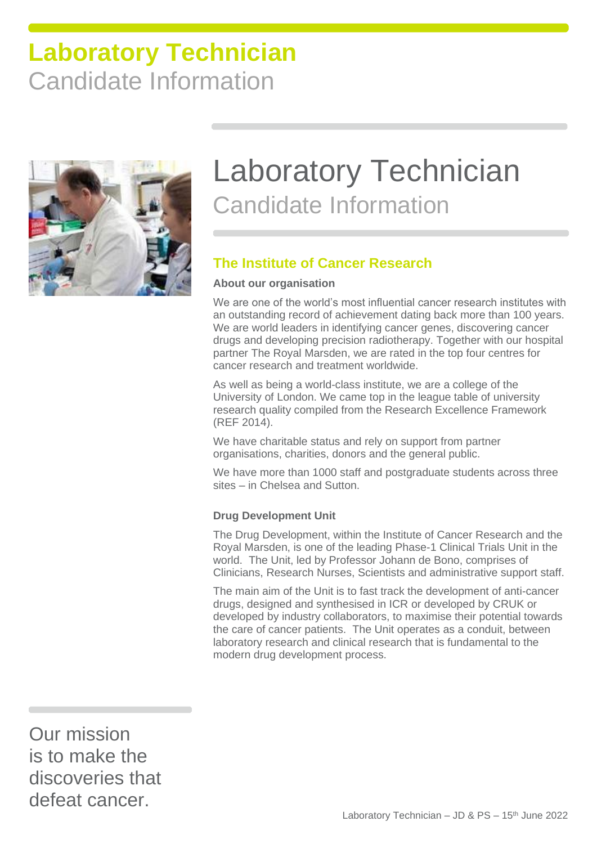

# Laboratory Technician Candidate Information

### **The Institute of Cancer Research**

#### **About our organisation**

We are one of the world's most influential cancer research institutes with an outstanding record of achievement dating back more than 100 years. We are world leaders in identifying cancer genes, discovering cancer drugs and developing precision radiotherapy. Together with our hospital partner The Royal Marsden, we are rated in the top four centres for cancer research and treatment worldwide.

As well as being a world-class institute, we are a college of the University of London. We came top in the league table of university research quality compiled from the Research Excellence Framework (REF 2014).

We have charitable status and rely on support from partner organisations, charities, donors and the general public.

We have more than 1000 staff and postgraduate students across three sites – in Chelsea and Sutton.

#### **Drug Development Unit**

The Drug Development, within the Institute of Cancer Research and the Royal Marsden, is one of the leading Phase-1 Clinical Trials Unit in the world. The Unit, led by Professor Johann de Bono, comprises of Clinicians, Research Nurses, Scientists and administrative support staff.

The main aim of the Unit is to fast track the development of anti-cancer drugs, designed and synthesised in ICR or developed by CRUK or developed by industry collaborators, to maximise their potential towards the care of cancer patients. The Unit operates as a conduit, between laboratory research and clinical research that is fundamental to the modern drug development process.

Our mission is to make the discoveries that defeat cancer.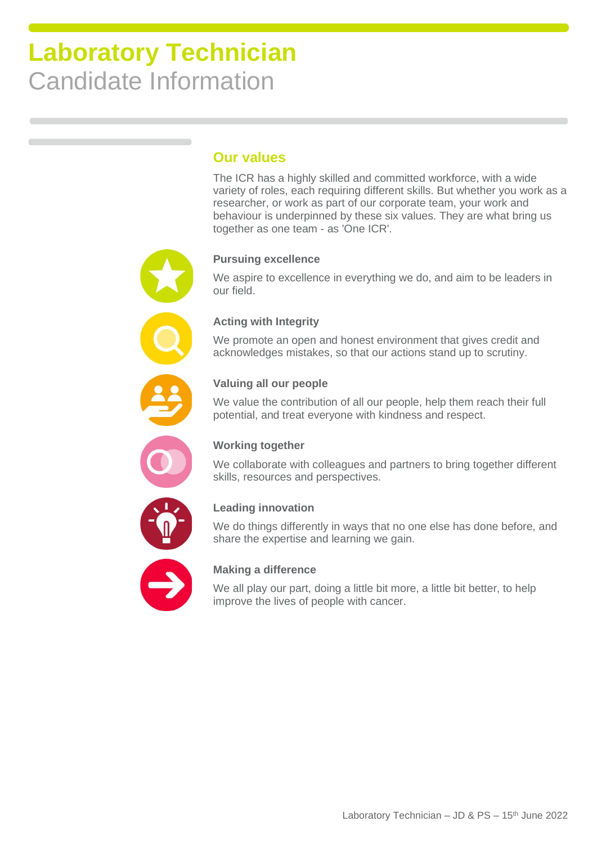#### **Our values**

The ICR has a highly skilled and committed workforce, with a wide variety of roles, each requiring different skills. But whether you work as a researcher, or work as part of our corporate team, your work and behaviour is underpinned by these six values. They are what bring us together as one team - as 'One ICR'.

#### **Pursuing excellence**

We aspire to excellence in everything we do, and aim to be leaders in our field.

#### **Acting with Integrity**

We promote an open and honest environment that gives credit and acknowledges mistakes, so that our actions stand up to scrutiny.

#### **Valuing all our people**

We value the contribution of all our people, help them reach their full potential, and treat everyone with kindness and respect.



#### **Working together**

We collaborate with colleagues and partners to bring together different skills, resources and perspectives.



#### **Leading innovation**

We do things differently in ways that no one else has done before, and share the expertise and learning we gain.



#### **Making a difference**

We all play our part, doing a little bit more, a little bit better, to help improve the lives of people with cancer.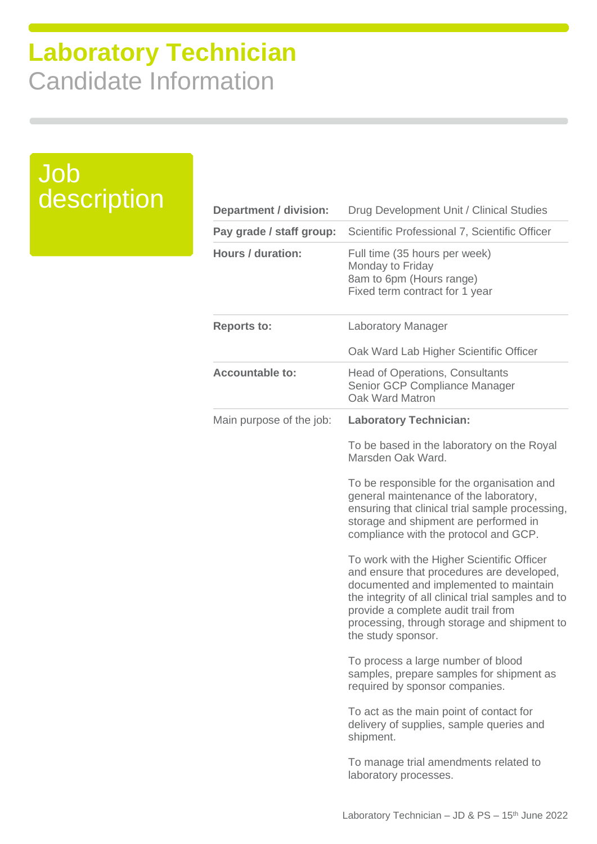Job

description

| <b>Department / division:</b> | Drug Development Unit / Clinical Studies                                                                                                                                                                                                                                                            |
|-------------------------------|-----------------------------------------------------------------------------------------------------------------------------------------------------------------------------------------------------------------------------------------------------------------------------------------------------|
| Pay grade / staff group:      | Scientific Professional 7, Scientific Officer                                                                                                                                                                                                                                                       |
| <b>Hours / duration:</b>      | Full time (35 hours per week)<br>Monday to Friday<br>8am to 6pm (Hours range)<br>Fixed term contract for 1 year                                                                                                                                                                                     |
| <b>Reports to:</b>            | <b>Laboratory Manager</b>                                                                                                                                                                                                                                                                           |
|                               | Oak Ward Lab Higher Scientific Officer                                                                                                                                                                                                                                                              |
| <b>Accountable to:</b>        | <b>Head of Operations, Consultants</b><br>Senior GCP Compliance Manager<br>Oak Ward Matron                                                                                                                                                                                                          |
| Main purpose of the job:      | <b>Laboratory Technician:</b>                                                                                                                                                                                                                                                                       |
|                               | To be based in the laboratory on the Royal<br>Marsden Oak Ward.                                                                                                                                                                                                                                     |
|                               | To be responsible for the organisation and<br>general maintenance of the laboratory,<br>ensuring that clinical trial sample processing,<br>storage and shipment are performed in<br>compliance with the protocol and GCP.                                                                           |
|                               | To work with the Higher Scientific Officer<br>and ensure that procedures are developed,<br>documented and implemented to maintain<br>the integrity of all clinical trial samples and to<br>provide a complete audit trail from<br>processing, through storage and shipment to<br>the study sponsor. |
|                               | To process a large number of blood<br>samples, prepare samples for shipment as<br>required by sponsor companies.                                                                                                                                                                                    |
|                               | To act as the main point of contact for<br>delivery of supplies, sample queries and<br>shipment.                                                                                                                                                                                                    |
|                               | To manage trial amendments related to<br>laboratory processes.                                                                                                                                                                                                                                      |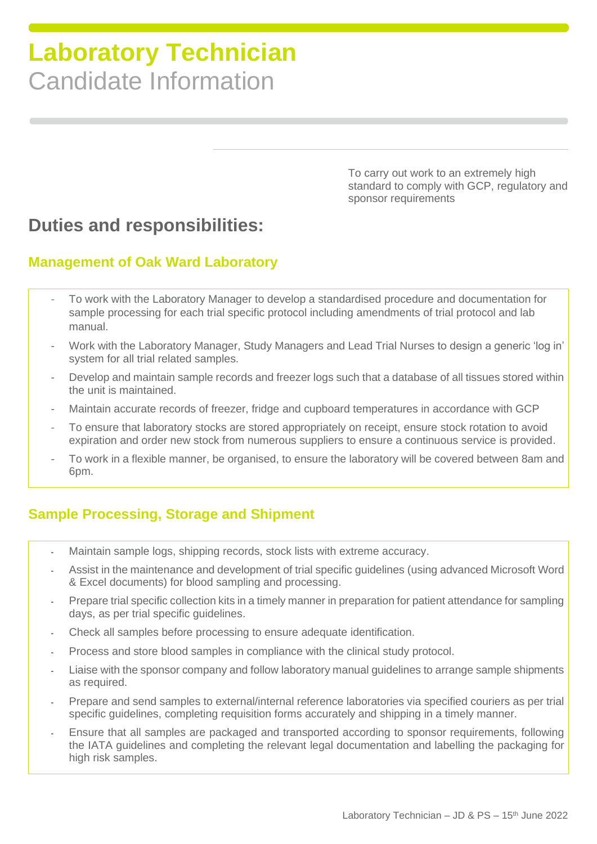To carry out work to an extremely high standard to comply with GCP, regulatory and sponsor requirements

### **Duties and responsibilities:**

#### **Management of Oak Ward Laboratory**

- To work with the Laboratory Manager to develop a standardised procedure and documentation for sample processing for each trial specific protocol including amendments of trial protocol and lab manual.
- Work with the Laboratory Manager, Study Managers and Lead Trial Nurses to design a generic 'log in' system for all trial related samples.
- Develop and maintain sample records and freezer logs such that a database of all tissues stored within the unit is maintained.
- Maintain accurate records of freezer, fridge and cupboard temperatures in accordance with GCP
- To ensure that laboratory stocks are stored appropriately on receipt, ensure stock rotation to avoid expiration and order new stock from numerous suppliers to ensure a continuous service is provided.
- To work in a flexible manner, be organised, to ensure the laboratory will be covered between 8am and 6pm.

### **Sample Processing, Storage and Shipment**

- Maintain sample logs, shipping records, stock lists with extreme accuracy.
- Assist in the maintenance and development of trial specific guidelines (using advanced Microsoft Word & Excel documents) for blood sampling and processing.
- Prepare trial specific collection kits in a timely manner in preparation for patient attendance for sampling days, as per trial specific guidelines.
- Check all samples before processing to ensure adequate identification.
- Process and store blood samples in compliance with the clinical study protocol.
- Liaise with the sponsor company and follow laboratory manual quidelines to arrange sample shipments as required.
- Prepare and send samples to external/internal reference laboratories via specified couriers as per trial specific guidelines, completing requisition forms accurately and shipping in a timely manner.
- Ensure that all samples are packaged and transported according to sponsor requirements, following the IATA guidelines and completing the relevant legal documentation and labelling the packaging for high risk samples.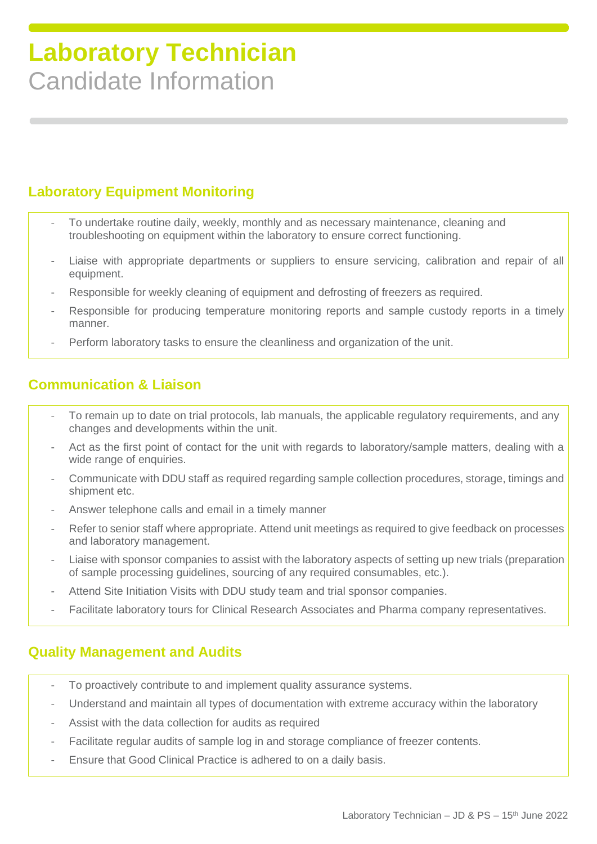### **Laboratory Equipment Monitoring**

- To undertake routine daily, weekly, monthly and as necessary maintenance, cleaning and troubleshooting on equipment within the laboratory to ensure correct functioning.
- Liaise with appropriate departments or suppliers to ensure servicing, calibration and repair of all equipment.
- Responsible for weekly cleaning of equipment and defrosting of freezers as required.
- Responsible for producing temperature monitoring reports and sample custody reports in a timely manner.
- Perform laboratory tasks to ensure the cleanliness and organization of the unit.

### **Communication & Liaison**

- To remain up to date on trial protocols, lab manuals, the applicable regulatory requirements, and any changes and developments within the unit.
- Act as the first point of contact for the unit with regards to laboratory/sample matters, dealing with a wide range of enquiries.
- Communicate with DDU staff as required regarding sample collection procedures, storage, timings and shipment etc.
- Answer telephone calls and email in a timely manner
- Refer to senior staff where appropriate. Attend unit meetings as required to give feedback on processes and laboratory management.
- Liaise with sponsor companies to assist with the laboratory aspects of setting up new trials (preparation of sample processing guidelines, sourcing of any required consumables, etc.).
- Attend Site Initiation Visits with DDU study team and trial sponsor companies.
- Facilitate laboratory tours for Clinical Research Associates and Pharma company representatives.

#### **Quality Management and Audits**

- To proactively contribute to and implement quality assurance systems.
- Understand and maintain all types of documentation with extreme accuracy within the laboratory
- Assist with the data collection for audits as required
- Facilitate regular audits of sample log in and storage compliance of freezer contents.
- Ensure that Good Clinical Practice is adhered to on a daily basis.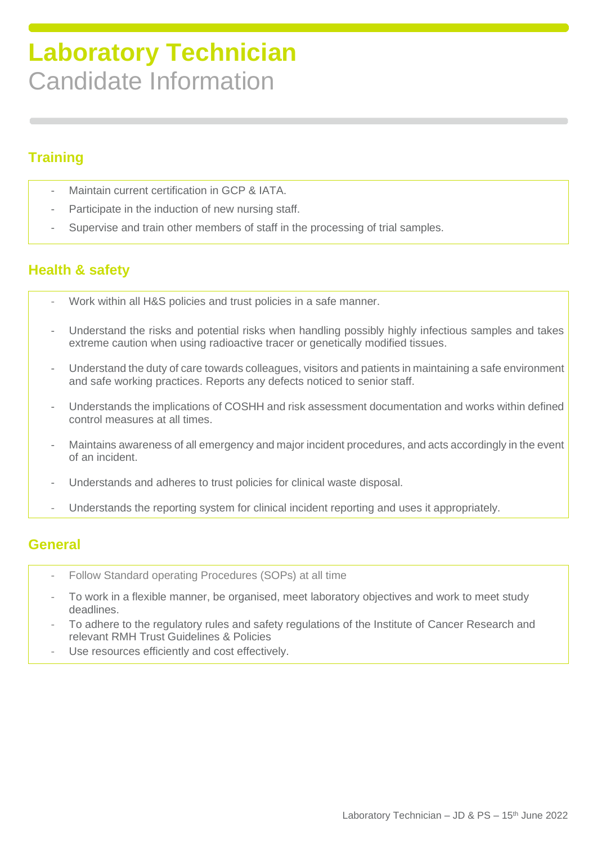### **Training**

- Maintain current certification in GCP & IATA.
- Participate in the induction of new nursing staff.
- Supervise and train other members of staff in the processing of trial samples.

### **Health & safety**

- Work within all H&S policies and trust policies in a safe manner.
- Understand the risks and potential risks when handling possibly highly infectious samples and takes extreme caution when using radioactive tracer or genetically modified tissues.
- Understand the duty of care towards colleagues, visitors and patients in maintaining a safe environment and safe working practices. Reports any defects noticed to senior staff.
- Understands the implications of COSHH and risk assessment documentation and works within defined control measures at all times.
- Maintains awareness of all emergency and major incident procedures, and acts accordingly in the event of an incident.
- Understands and adheres to trust policies for clinical waste disposal.
- Understands the reporting system for clinical incident reporting and uses it appropriately.

#### **General**

- Follow Standard operating Procedures (SOPs) at all time
- To work in a flexible manner, be organised, meet laboratory objectives and work to meet study deadlines.
- To adhere to the regulatory rules and safety regulations of the Institute of Cancer Research and relevant RMH Trust Guidelines & Policies
- Use resources efficiently and cost effectively.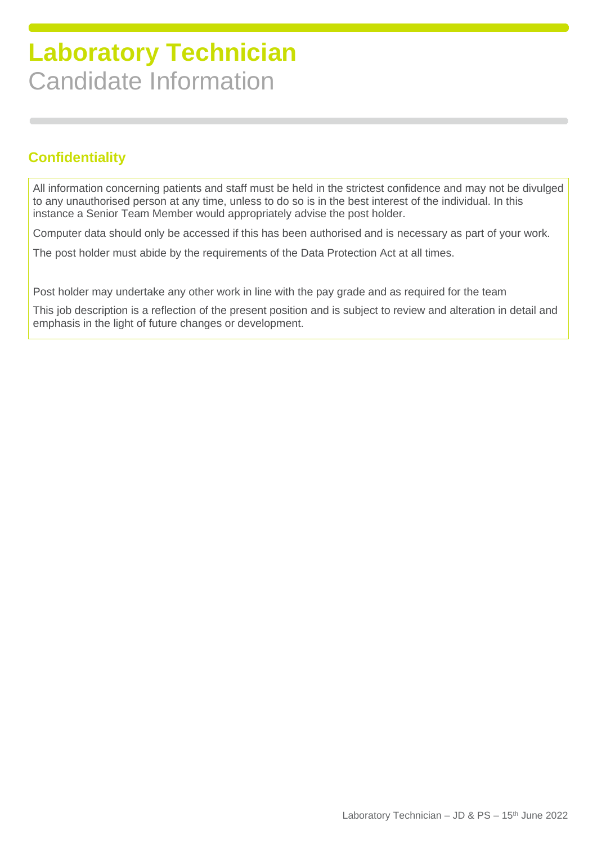### **Confidentiality**

All information concerning patients and staff must be held in the strictest confidence and may not be divulged to any unauthorised person at any time, unless to do so is in the best interest of the individual. In this instance a Senior Team Member would appropriately advise the post holder.

Computer data should only be accessed if this has been authorised and is necessary as part of your work.

The post holder must abide by the requirements of the Data Protection Act at all times.

Post holder may undertake any other work in line with the pay grade and as required for the team

This job description is a reflection of the present position and is subject to review and alteration in detail and emphasis in the light of future changes or development.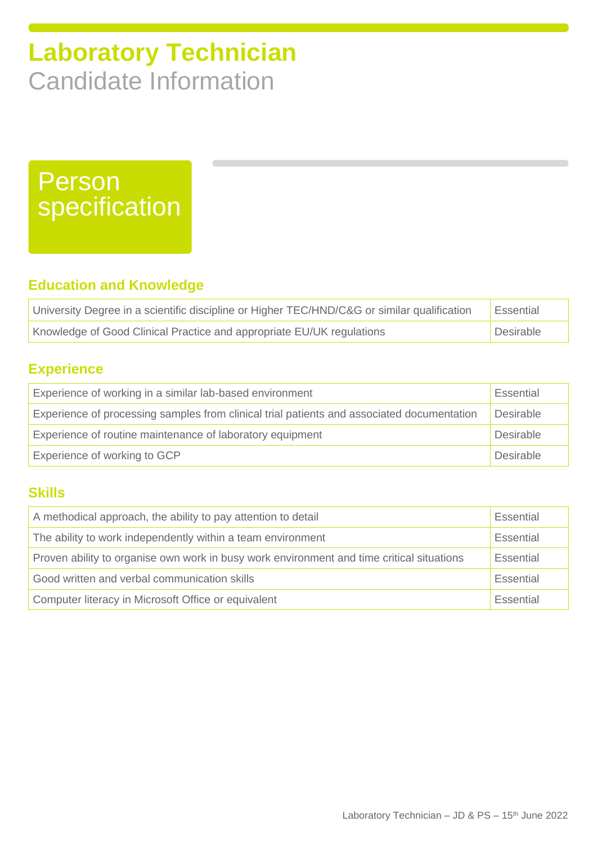## Person specification

### **Education and Knowledge**

| University Degree in a scientific discipline or Higher TEC/HND/C&G or similar qualification | Essential |
|---------------------------------------------------------------------------------------------|-----------|
| Knowledge of Good Clinical Practice and appropriate EU/UK regulations                       | Desirable |

### **Experience**

| Experience of working in a similar lab-based environment                                   | Essential |
|--------------------------------------------------------------------------------------------|-----------|
| Experience of processing samples from clinical trial patients and associated documentation | Desirable |
| Experience of routine maintenance of laboratory equipment                                  |           |
| Experience of working to GCP                                                               | Desirable |

#### **Skills**

| A methodical approach, the ability to pay attention to detail                             |           |
|-------------------------------------------------------------------------------------------|-----------|
| The ability to work independently within a team environment                               | Essential |
| Proven ability to organise own work in busy work environment and time critical situations |           |
| Good written and verbal communication skills                                              |           |
| Computer literacy in Microsoft Office or equivalent                                       | Essential |